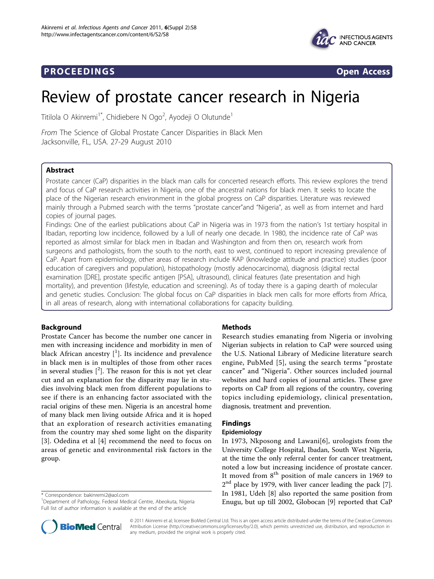

# **PROCEEDINGS CONSIDERING S** Open Access



# Review of prostate cancer research in Nigeria

Titilola O Akinremi $^{\rm 1*}$ , Chidiebere N Ogo $^{\rm 2}$ , Ayodeji O Olutunde $^{\rm 1}$ 

From The Science of Global Prostate Cancer Disparities in Black Men Jacksonville, FL, USA. 27-29 August 2010

# Abstract

Prostate cancer (CaP) disparities in the black man calls for concerted research efforts. This review explores the trend and focus of CaP research activities in Nigeria, one of the ancestral nations for black men. It seeks to locate the place of the Nigerian research environment in the global progress on CaP disparities. Literature was reviewed mainly through a Pubmed search with the terms "prostate cancer"and "Nigeria", as well as from internet and hard copies of journal pages.

Findings: One of the earliest publications about CaP in Nigeria was in 1973 from the nation's 1st tertiary hospital in Ibadan, reporting low incidence, followed by a lull of nearly one decade. In 1980, the incidence rate of CaP was reported as almost similar for black men in Ibadan and Washington and from then on, research work from surgeons and pathologists, from the south to the north, east to west, continued to report increasing prevalence of CaP. Apart from epidemiology, other areas of research include KAP (knowledge attitude and practice) studies (poor education of caregivers and population), histopathology (mostly adenocarcinoma), diagnosis (digital rectal examination [DRE], prostate specific antigen [PSA], ultrasound), clinical features (late presentation and high mortality), and prevention (lifestyle, education and screening). As of today there is a gaping dearth of molecular and genetic studies. Conclusion: The global focus on CaP disparities in black men calls for more efforts from Africa, in all areas of research, along with international collaborations for capacity building.

# Background

Prostate Cancer has become the number one cancer in men with increasing incidence and morbidity in men of black African ancestry  $[^1]$  $[^1]$  $[^1]$ . Its incidence and prevalence in black men is in multiples of those from other races in several studies  $[^2]$  $[^2]$  $[^2]$ . The reason for this is not yet clear cut and an explanation for the disparity may lie in studies involving black men from different populations to see if there is an enhancing factor associated with the racial origins of these men. Nigeria is an ancestral home of many black men living outside Africa and it is hoped that an exploration of research activities emanating from the country may shed some light on the disparity [[3\]](#page-2-0). Odedina et al [[4\]](#page-2-0) recommend the need to focus on areas of genetic and environmental risk factors in the group.

# **Methods**

Research studies emanating from Nigeria or involving Nigerian subjects in relation to CaP were sourced using the U.S. National Library of Medicine literature search engine, PubMed [\[5](#page-2-0)], using the search terms "prostate cancer" and "Nigeria". Other sources included journal websites and hard copies of journal articles. These gave reports on CaP from all regions of the country, covering topics including epidemiology, clinical presentation, diagnosis, treatment and prevention.

# Findings

## Epidemiology

In 1973, Nkposong and Lawani[\[6](#page-2-0)], urologists from the University College Hospital, Ibadan, South West Nigeria, at the time the only referral center for cancer treatment, noted a low but increasing incidence of prostate cancer. It moved from 8<sup>th</sup> position of male cancers in 1969 to  $2<sup>nd</sup>$  place by 1979, with liver cancer leading the pack [\[7](#page-2-0)]. In 1981, Udeh [\[8](#page-2-0)] also reported the same position from Enugu, but up till 2002, Globocan [[9\]](#page-2-0) reported that CaP

<sup>&</sup>lt;sup>1</sup>Department of Pathology, Federal Medical Centre, Abeokuta, Nigeria Full list of author information is available at the end of the article



© 2011 Akinremi et al; licensee BioMed Central Ltd. This is an open access article distributed under the terms of the Creative Commons Attribution License [\(http://creativecommons.org/licenses/by/2.0](http://creativecommons.org/licenses/by/2.0)), which permits unrestricted use, distribution, and reproduction in any medium, provided the original work is properly cited.

<sup>\*</sup> Correspondence: [bakinremi2@aol.com](mailto:bakinremi2@aol.com)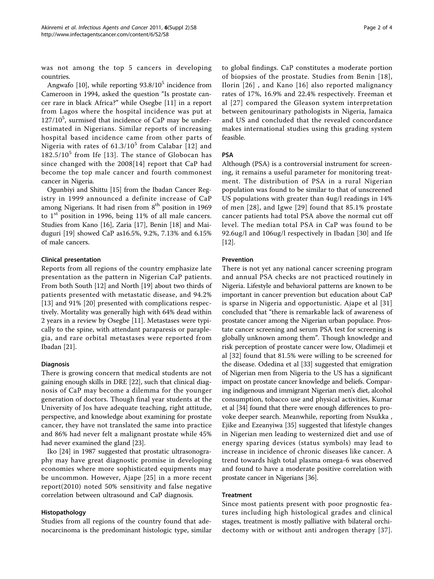was not among the top 5 cancers in developing countries.

Angwafo [\[10](#page-2-0)], while reporting  $93.8/10^5$  incidence from Cameroon in 1994, asked the question "Is prostate cancer rare in black Africa?" while Osegbe [[11\]](#page-2-0) in a report from Lagos where the hospital incidence was put at  $127/10^5$ , surmised that incidence of CaP may be underestimated in Nigerians. Similar reports of increasing hospital based incidence came from other parts of Nigeria with rates of  $61.3/10^5$  from Calabar [\[12\]](#page-2-0) and  $182.5/10^5$  from Ife [[13](#page-2-0)]. The stance of Globocan has since changed with the 2008[[14\]](#page-2-0) report that CaP had become the top male cancer and fourth commonest cancer in Nigeria.

Ogunbiyi and Shittu [\[15\]](#page-2-0) from the Ibadan Cancer Registry in 1999 announced a definite increase of CaP among Nigerians. It had risen from  $8<sup>th</sup>$  position in 1969 to  $1<sup>st</sup>$  position in 1996, being 11% of all male cancers. Studies from Kano [[16\]](#page-2-0), Zaria [\[17](#page-2-0)], Benin [\[18\]](#page-2-0) and Maiduguri [[19\]](#page-2-0) showed CaP as16.5%, 9.2%, 7.13% and 6.15% of male cancers.

## Clinical presentation

Reports from all regions of the country emphasize late presentation as the pattern in Nigerian CaP patients. From both South [[12](#page-2-0)] and North [[19\]](#page-2-0) about two thirds of patients presented with metastatic disease, and 94.2% [[13](#page-2-0)] and 91% [[20\]](#page-2-0) presented with complications respectively. Mortality was generally high with 64% dead within 2 years in a review by Osegbe [[11\]](#page-2-0). Metastases were typically to the spine, with attendant paraparesis or paraplegia, and rare orbital metastases were reported from Ibadan [\[21](#page-2-0)].

#### **Diagnosis**

There is growing concern that medical students are not gaining enough skills in DRE [\[22](#page-2-0)], such that clinical diagnosis of CaP may become a dilemma for the younger generation of doctors. Though final year students at the University of Jos have adequate teaching, right attitude, perspective, and knowledge about examining for prostate cancer, they have not translated the same into practice and 86% had never felt a malignant prostate while 45% had never examined the gland [[23\]](#page-2-0).

Iko [\[24](#page-2-0)] in 1987 suggested that prostatic ultrasonography may have great diagnostic promise in developing economies where more sophisticated equipments may be uncommon. However, Ajape [[25\]](#page-2-0) in a more recent report(2010) noted 50% sensitivity and false negative correlation between ultrasound and CaP diagnosis.

#### Histopathology

Studies from all regions of the country found that adenocarcinoma is the predominant histologic type, similar

to global findings. CaP constitutes a moderate portion of biopsies of the prostate. Studies from Benin [[18\]](#page-2-0), Ilorin [\[26\]](#page-2-0) , and Kano [[16](#page-2-0)] also reported malignancy rates of 17%, 16.9% and 22.4% respectively. Freeman et al [[27](#page-2-0)] compared the Gleason system interpretation between genitourinary pathologists in Nigeria, Jamaica and US and concluded that the revealed concordance makes international studies using this grading system feasible.

## PSA

Although (PSA) is a controversial instrument for screening, it remains a useful parameter for monitoring treatment. The distribution of PSA in a rural Nigerian population was found to be similar to that of unscreened US populations with greater than 4ug/l readings in 14% of men [[28\]](#page-2-0), and Igwe [[29\]](#page-2-0) found that 85.1% prostate cancer patients had total PSA above the normal cut off level. The median total PSA in CaP was found to be 92.6ug/l and 106ug/l respectively in Ibadan [[30](#page-2-0)] and Ife [[12\]](#page-2-0).

## Prevention

There is not yet any national cancer screening program and annual PSA checks are not practiced routinely in Nigeria. Lifestyle and behavioral patterns are known to be important in cancer prevention but education about CaP is sparse in Nigeria and opportunistic. Ajape et al [[31](#page-2-0)] concluded that "there is remarkable lack of awareness of prostate cancer among the Nigerian urban populace. Prostate cancer screening and serum PSA test for screening is globally unknown among them". Though knowledge and risk perception of prostate cancer were low, Oladimeji et al [\[32](#page-2-0)] found that 81.5% were willing to be screened for the disease. Odedina et al [\[33](#page-2-0)] suggested that emigration of Nigerian men from Nigeria to the US has a significant impact on prostate cancer knowledge and beliefs. Comparing indigenous and immigrant Nigerian men's diet, alcohol consumption, tobacco use and physical activities, Kumar et al [\[34](#page-2-0)] found that there were enough differences to provoke deeper search. Meanwhile, reporting from Nsukka , Ejike and Ezeanyiwa [\[35](#page-2-0)] suggested that lifestyle changes in Nigerian men leading to westernized diet and use of energy sparing devices (status symbols) may lead to increase in incidence of chronic diseases like cancer. A trend towards high total plasma omega-6 was observed and found to have a moderate positive correlation with prostate cancer in Nigerians [\[36\]](#page-3-0).

## Treatment

Since most patients present with poor prognostic features including high histological grades and clinical stages, treatment is mostly palliative with bilateral orchidectomy with or without anti androgen therapy [[37\]](#page-3-0).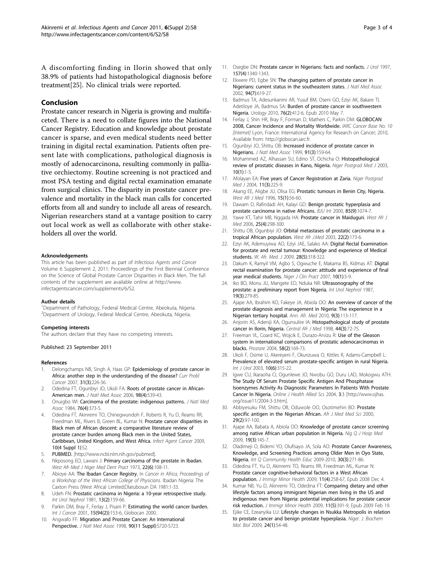<span id="page-2-0"></span>A discomforting finding in Ilorin showed that only 38.9% of patients had histopathological diagnosis before treatment[25]. No clinical trials were reported.

## Conclusion

Prostate cancer research in Nigeria is growing and multifaceted. There is a need to collate figures into the National Cancer Registry. Education and knowledge about prostate cancer is sparse, and even medical students need better training in digital rectal examination. Patients often present late with complications, pathological diagnosis is mostly of adenocarcinona, resulting commonly in palliative orchiectomy. Routine screening is not practiced and most PSA testing and digital rectal examination emanate from surgical clinics. The disparity in prostate cancer prevalence and mortality in the black man calls for concerted efforts from all and sundry to include all areas of research. Nigerian researchers stand at a vantage position to carry out local work as well as collaborate with other stakeholders all over the world.

#### Acknowledgements

This article has been published as part of Infectious Agents and Cancer Volume 6 Supplement 2, 2011: Proceedings of the First Biennial Conference on the Science of Global Prostate Cancer Disparities in Black Men. The full contents of the supplement are available online at [http://www.](http://www.infectagentscancer.com/supplements/6/S2) [infectagentscancer.com/supplements/6/S2](http://www.infectagentscancer.com/supplements/6/S2).

#### Author details

<sup>1</sup>Department of Pathology, Federal Medical Centre, Abeokuta, Nigeria. <sup>2</sup>Department of Urology, Federal Medical Centre, Abeokuta, Nigeria.

#### Competing interests

The authors declare that they have no competing interests.

#### Published: 23 September 2011

#### References

- Delongchamps NB, Singh A, Haas GP: Epidemiology of prostate cancer in Africa: another step in the understanding of the disease? Curr Probl Cancer 2007, 31(3):226-36.
- 2. Odedina FT, Ogunbiyi JO, Ukoli FA: Roots of prostate cancer in African-American men. J Natl Med Assoc 2006, 98(4):539-43.
- 3. Onuigbo WI: Carcinoma of the prostate: indigenous patterns. J Natl Med Assoc 1984, 76(4):373-5.
- 4. Odedina FT, Akinremi TO, Chinegwundoh F, Roberts R, Yu D, Reams RR, Freedman ML, Rivers B, Green BL, Kumar N: Prostate cancer disparities in Black men of African descent: a comparative literature review of prostate cancer burden among Black men in the United States, Caribbean, United Kingdom, and West Africa. Infect Agent Cancer 2009, 10(4 Suppl 1):S2.
- 5. PUBMED. [\[http://www.ncbi.nlm.nih.gov/pubmed](http://www.ncbi.nlm.nih.gov/pubmed)].
- 6. Nkposong EO, Lawani J: Primary carcinoma of the prostate in Ibadan. West Afr Med J Niger Med Dent Pract 1973, 22(6):108-11.
- 7. Abioye AA: The Ibadan Cancer Registry. In Cancer in Africa, Proceedings of a Workshop of the West African College of Physicians. Ibadan Nigeria: The Caxton Press (West Africa) Limited;Olatubosun DA 1981:1-33.
- 8. Udeh FN: Prostatic carcinoma in Nigeria: a 10-year retrospective study. Int Urol Nephrol 1981, 13(2):159-66.
- 9. Parkin DM, Bray F, Ferlay J, Pisani P: Estimating the world cancer burden. Int J Cancer 2001, 15(94(2)):153-6, Globocan 2000.
- 10. Angwafo FF: Migration and Prostate Cancer: An International Perspective. J Natl Med Assoc 1998, 90(11 Suppl):S720-S723.
- 11. Osegbe DN: Prostate cancer in Nigerians: facts and nonfacts. J Urol 1997. 157(4):1340-1343.
- 12. Ekwere PD, Egbe SN: The changing pattern of prostate cancer in Nigerians: current status in the southeastern states. J Natl Med Assoc 2002, 94(7):619-27.
- 13. Badmus TA, Adesunkanmi AR, Yusuf BM, Oseni GO, Eziyi AK, Bakare TI, Adetiloye JA, Badmus SA: Burden of prostate cancer in southwestern Nigeria. Urology 2010, 76(2):412-6, Epub 2010 May 7.
- 14. Ferlay J, Shin HR, Bray F, Forman D, Mathers C, Parkin DM: GLOBOCAN 2008, Cancer Incidence and Mortality Worldwide. IARC Cancer Base No. 10 [Internet] Lyon, France: International Agency for Research on Cancer; 2010, Available from: http://globocan.iarc.fr.
- 15. Ogunbiyi JO, Shittu OB: Increased incidence of prostate cancer in Nigerians. J Natl Med Assoc 1999, 91(3):159-64.
- 16. Mohammed AZ, Alhassan SU, Edino ST, Ochicha O: Histopathological review of prostatic diseases in Kano, Nigeria. Niger Postgrad Med J 2003, 10(1):1-5.
- 17. Afolayan EA: Five years of Cancer Registration at Zaria. Niger Postgrad Med J 2004, 11(3):225-9.
- 18. Akang EE, Aligbe JU, Olisa EG: Prostatic tumours in Benin City, Nigeria. West Afr J Med 1996, 15(1):56-60.
- 19. Dawam D, Rafindadi AH, Kalayi GD: Benign prostatic hyperplasia and prostate carcinoma in native Africans. BJU Int 2000, 85(9):1074-7.
- 20. Yawe KT, Tahir MB, Nggada HA: Prostate cancer in Maiduguri. West Afr J Med 2006, 25(4):298-300.
- 21. Shittu OB, Ogunbiyi JO: Orbital metastases of prostatic carcinoma in a tropical African population. West Afr J.Med 2003, 22(2):173-6.
- 22. Eziyi AK, Ademuyiwa AO, Eziyi JAE, Salako AA: Digital Rectal Examination for prostate and rectal tumour: Knowledge and experience of Medical students. W. Afr. Med. J 2009, 28(5):318-322.
- 23. Dakum K, Ramyil VM, Agbo S, Ogwuche E, Makama BS, Kidmas AT: Digital rectal examination for prostate cancer: attitude and experience of final year medical students. Niger J Clin Pract 2007, 10(1):5-9.
- 24. Iko BO, Monu JU, Mangete ED, Nduka NR: Ultrasonography of the prostate: a preliminary report from Nigeria. Int Urol Nephrol 1987, 19(3):279-85.
- 25. Ajape AA, Ibrahim KO, Fakeye JA, Abiola OO: An overview of cancer of the prostate diagnosis and management in Nigeria: The experience in a Nigerian tertiary hospital. Ann. Afr. Med 2010, 9(3):113-117.
- 26. Anjorin AS, Adeniji KA, Ogunsulire IA: Histopathological study of prostate cancer in Ilorin, Nigeria. Central Afr J Med 1998, 44(3):72-75.
- 27. Freeman VL, Coard KC, Wojcik E, Durazo-Arvizu R: Use of the Gleason system in international comparisons of prostatic adenocarcinomas in blacks. Prostate 2004, 58(2):169-73.
- 28. Ukoli F, Osime U, Akereyeni F, Okunzuwa O, Kittles R, Adams-Campbell L: Prevalence of elevated serum prostate-specific antigen in rural Nigeria. Int J Urol 2003, 10(6):315-22.
- 29. Igwe CU, Ikaraoha CI, Ogunlewe JO, Nwobu GO, Duru LAD, Mokogwu ATH: The Study Of Serum Prostate Specific Antigen And Phosphatase Isoenzymes Activity As Diagnostic Parameters In Patients With Prostate Cancer In Nigeria. Online J Health Allied Scs 2004, 3:3 [\[http://www.ojhas.](http://www.ojhas.org/issue11/2004-3-3.htm) [org/issue11/2004-3-3.htm](http://www.ojhas.org/issue11/2004-3-3.htm)].
- 30. Abbiyesuku FM, Shittu OB, Oduwole OO, Osotimehin BO: Prostate specific antigen in the Nigerian African. Afr J Med Med Sci 2000, 29(2):97-100.
- 31. Ajape AA, Babata A, Abiola OO: Knowledge of prostate cancer screening among native African urban population in Nigeria. Nig Q J Hosp Med 2009, 19(3):145-7.
- 32. Oladimeji O, Bidemi YO, Olufisayo JA, Sola AO: Prostate Cancer Awareness, Knowledge, and Screening Practices among Older Men in Oyo State, Nigeria. Int Q Community Health Educ 2009-2010, 30(3):271-86.
- 33. Odedina FT, Yu D, Akinremi TO, Reams RR, Freedman ML, Kumar N: Prostate cancer cognitive-behavioral factors in a West African population. J Immigr Minor Health 2009, 11(4):258-67, Epub 2008 Dec 4.
- 34. Kumar NB, Yu D, Akinremi TO, Odedina FT: Comparing dietary and other lifestyle factors among immigrant Nigerian men living in the US and indigenous men from Nigeria: potential implications for prostate cancer risk reduction. J Immigr Minor Health 2009, 11(5):391-9, Epub 2009 Feb 19.
- 35. Ejike CE, Ezeanyika LU: Lifestyle changes in Nsukka Metropolis in relation to prostate cancer and benign prostate hyperplasia. Niger. J. Biochem Mol. Biol 2009, 24(1):54-48.